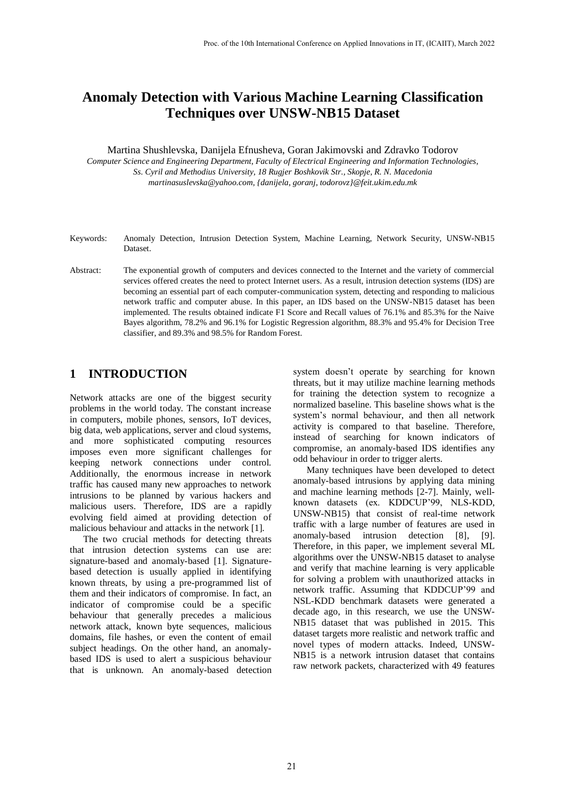# **Anomaly Detection with Various Machine Learning Classification Techniques over UNSW-NB15 Dataset**

Martina Shushlevska, Danijela Efnusheva, Goran Jakimovski and Zdravko Todorov

*Computer Science and Engineering Department, Faculty of Electrical Engineering and Information Technologies, Ss. Cyril and Methodius University, 18 Rugjer Boshkovik Str., Skopje, R. N. Macedonia martinasuslevska@yahoo.com, {danijela, goranj, todorovz}@feit.ukim.edu.mk*

- Keywords: Anomaly Detection, Intrusion Detection System, Machine Learning, Network Security, UNSW-NB15 Dataset.
- Abstract: The exponential growth of computers and devices connected to the Internet and the variety of commercial services offered creates the need to protect Internet users. As a result, intrusion detection systems (IDS) are becoming an essential part of each computer-communication system, detecting and responding to malicious network traffic and computer abuse. In this paper, an IDS based on the UNSW-NB15 dataset has been implemented. The results obtained indicate F1 Score and Recall values of 76.1% and 85.3% for the Naive Bayes algorithm, 78.2% and 96.1% for Logistic Regression algorithm, 88.3% and 95.4% for Decision Tree classifier, and 89.3% and 98.5% for Random Forest.

# **1 INTRODUCTION**

Network attacks are one of the biggest security problems in the world today. The constant increase in computers, mobile phones, sensors, IoT devices, big data, web applications, server and cloud systems, and more sophisticated computing resources imposes even more significant challenges for keeping network connections under control. Additionally, the enormous increase in network traffic has caused many new approaches to network intrusions to be planned by various hackers and malicious users. Therefore, IDS are a rapidly evolving field aimed at providing detection of malicious behaviour and attacks in the network [1].

The two crucial methods for detecting threats that intrusion detection systems can use are: signature-based and anomaly-based [1]. Signaturebased detection is usually applied in identifying known threats, by using a pre-programmed list of them and their indicators of compromise. In fact, an indicator of compromise could be a specific behaviour that generally precedes a malicious network attack, known byte sequences, malicious domains, file hashes, or even the content of email subject headings. On the other hand, an anomalybased IDS is used to alert a suspicious behaviour that is unknown. An anomaly-based detection

system doesn't operate by searching for known threats, but it may utilize machine learning methods for training the detection system to recognize a normalized baseline. This baseline shows what is the system's normal behaviour, and then all network activity is compared to that baseline. Therefore, instead of searching for known indicators of compromise, an anomaly-based IDS identifies any odd behaviour in order to trigger alerts.

Many techniques have been developed to detect anomaly-based intrusions by applying data mining and machine learning methods [2-7]. Mainly, wellknown datasets (ex. KDDCUP'99, NLS-KDD, UNSW-NB15) that consist of real-time network traffic with a large number of features are used in anomaly-based intrusion detection [8], [9]. Therefore, in this paper, we implement several ML algorithms over the UNSW-NB15 dataset to analyse and verify that machine learning is very applicable for solving a problem with unauthorized attacks in network traffic. Assuming that KDDCUP'99 and NSL-KDD benchmark datasets were generated a decade ago, in this research, we use the UNSW-NB15 dataset that was published in 2015. This dataset targets more realistic and network traffic and novel types of modern attacks. Indeed, UNSW-NB15 is a network intrusion dataset that contains raw network packets, characterized with 49 features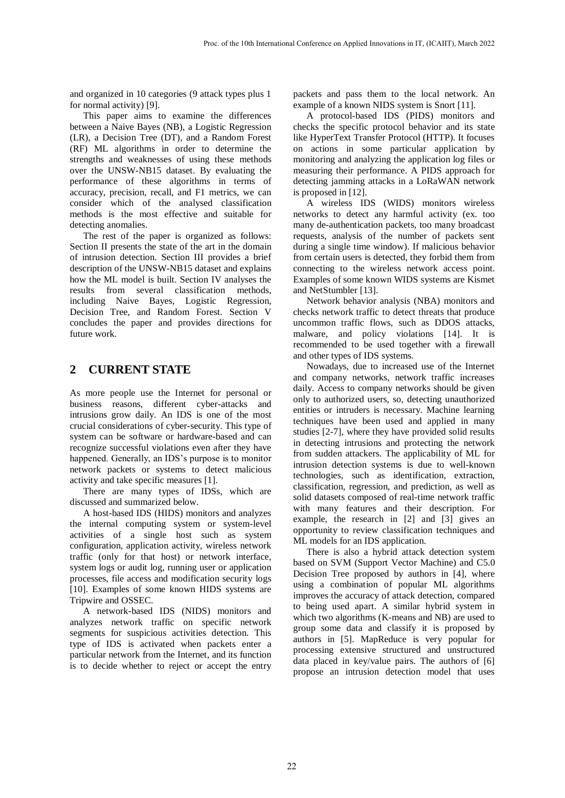and organized in 10 categories (9 attack types plus 1 for normal activity) [9].

This paper aims to examine the differences between a Naive Bayes (NB), a Logistic Regression (LR), a Decision Tree (DT), and a Random Forest (RF) ML algorithms in order to determine the strengths and weaknesses of using these methods over the UNSW-NB15 dataset. By evaluating the performance of these algorithms in terms of accuracy, precision, recall, and F1 metrics, we can consider which of the analysed classification methods is the most effective and suitable for detecting anomalies.

The rest of the paper is organized as follows: Section II presents the state of the art in the domain of intrusion detection. Section III provides a brief description of the UNSW-NB15 dataset and explains how the ML model is built. Section IV analyses the results from several classification methods, including Naive Bayes, Logistic Regression, Decision Tree, and Random Forest. Section V concludes the paper and provides directions for future work.

# **2 CURRENT STATE**

As more people use the Internet for personal or business reasons, different cyber-attacks and intrusions grow daily. An IDS is one of the most crucial considerations of cyber-security. This type of system can be software or hardware-based and can recognize successful violations even after they have happened. Generally, an IDS's purpose is to monitor network packets or systems to detect malicious activity and take specific measures [1].

There are many types of IDSs, which are discussed and summarized below.

A host-based IDS (HIDS) monitors and analyzes the internal computing system or system-level activities of a single host such as system configuration, application activity, wireless network traffic (only for that host) or network interface, system logs or audit log, running user or application processes, file access and modification security logs [10]. Examples of some known HIDS systems are Tripwire and OSSEC.

A network-based IDS (NIDS) monitors and analyzes network traffic on specific network segments for suspicious activities detection. This type of IDS is activated when packets enter a particular network from the Internet, and its function is to decide whether to reject or accept the entry

packets and pass them to the local network. An example of a known NIDS system is Snort [11].

A protocol-based IDS (PIDS) monitors and checks the specific protocol behavior and its state like HyperText Transfer Protocol (HTTP). It focuses on actions in some particular application by monitoring and analyzing the application log files or measuring their performance. A PIDS approach for detecting jamming attacks in a LoRaWAN network is proposed in [12].

A wireless IDS (WIDS) monitors wireless networks to detect any harmful activity (ex. too many de-authentication packets, too many broadcast requests, analysis of the number of packets sent during a single time window). If malicious behavior from certain users is detected, they forbid them from connecting to the wireless network access point. Examples of some known WIDS systems are Kismet and NetStumbler [13].

Network behavior analysis (NBA) monitors and checks network traffic to detect threats that produce uncommon traffic flows, such as DDOS attacks, malware, and policy violations [14]. It is recommended to be used together with a firewall and other types of IDS systems.

Nowadays, due to increased use of the Internet and company networks, network traffic increases daily. Access to company networks should be given only to authorized users, so, detecting unauthorized entities or intruders is necessary. Machine learning techniques have been used and applied in many studies [2-7], where they have provided solid results in detecting intrusions and protecting the network from sudden attackers. The applicability of ML for intrusion detection systems is due to well-known technologies, such as identification, extraction, classification, regression, and prediction, as well as solid datasets composed of real-time network traffic with many features and their description. For example, the research in [2] and [3] gives an opportunity to review classification techniques and ML models for an IDS application.

There is also a hybrid attack detection system based on SVM (Support Vector Machine) and C5.0 Decision Tree proposed by authors in [4], where using a combination of popular ML algorithms improves the accuracy of attack detection, compared to being used apart. A similar hybrid system in which two algorithms (K-means and NB) are used to group some data and classify it is proposed by authors in [5]. MapReduce is very popular for processing extensive structured and unstructured data placed in key/value pairs. The authors of [6] propose an intrusion detection model that uses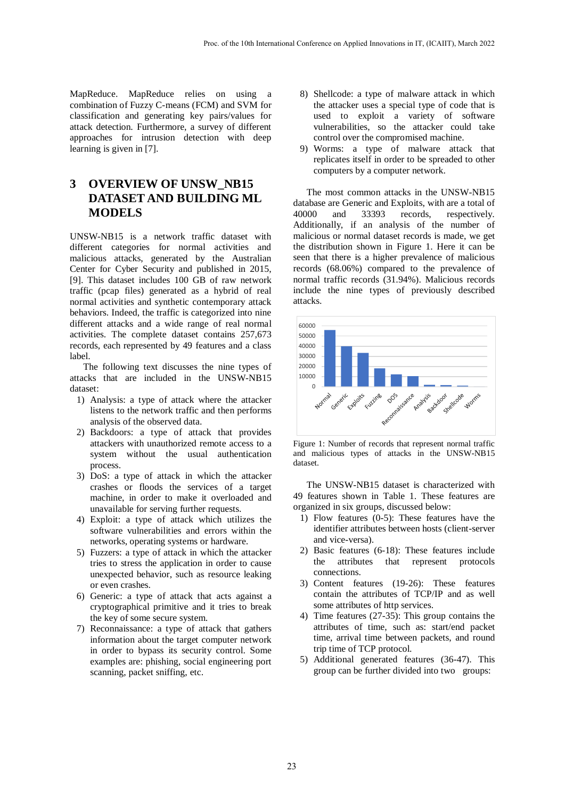MapReduce. MapReduce relies on using a combination of Fuzzy C-means (FCM) and SVM for classification and generating key pairs/values for attack detection. Furthermore, a survey of different approaches for intrusion detection with deep learning is given in [7].

# **3 OVERVIEW OF UNSW\_NB15 DATASET AND BUILDING ML MODELS**

UNSW-NB15 is a network traffic dataset with different categories for normal activities and malicious attacks, generated by the Australian Center for Cyber Security and published in 2015, [9]. This dataset includes 100 GB of raw network traffic (pcap files) generated as a hybrid of real normal activities and synthetic contemporary attack behaviors. Indeed, the traffic is categorized into nine different attacks and a wide range of real normal activities. The complete dataset contains 257,673 records, each represented by 49 features and a class label.

The following text discusses the nine types of attacks that are included in the UNSW-NB15 dataset:

- 1) Analysis: a type of attack where the attacker listens to the network traffic and then performs analysis of the observed data.
- 2) Backdoors: a type of attack that provides attackers with unauthorized remote access to a system without the usual authentication process.
- 3) DoS: a type of attack in which the attacker crashes or floods the services of a target machine, in order to make it overloaded and unavailable for serving further requests.
- 4) Exploit: a type of attack which utilizes the software vulnerabilities and errors within the networks, operating systems or hardware.
- 5) Fuzzers: a type of attack in which the attacker tries to stress the application in order to cause unexpected behavior, such as resource leaking or even crashes.
- 6) Generic: a type of attack that acts against a cryptographical primitive and it tries to break the key of some secure system.
- 7) Reconnaissance: a type of attack that gathers information about the target computer network in order to bypass its security control. Some examples are: phishing, social engineering port scanning, packet sniffing, etc.
- 8) Shellcode: a type of malware attack in which the attacker uses a special type of code that is used to exploit a variety of software vulnerabilities, so the attacker could take control over the compromised machine.
- 9) Worms: a type of malware attack that replicates itself in order to be spreaded to other computers by a computer network.

The most common attacks in the UNSW-NB15 database are Generic and Exploits, with are a total of 40000 and 33393 records, respectively. Additionally, if an analysis of the number of malicious or normal dataset records is made, we get the distribution shown in Figure 1. Here it can be seen that there is a higher prevalence of malicious records (68.06%) compared to the prevalence of normal traffic records (31.94%). Malicious records include the nine types of previously described attacks.



Figure 1: Number of records that represent normal traffic and malicious types of attacks in the UNSW-NB15 dataset.

The UNSW-NB15 dataset is characterized with 49 features shown in Table 1. These features are organized in six groups, discussed below:

- 1) Flow features (0-5): These features have the identifier attributes between hosts (client-server and vice-versa).
- 2) Basic features (6-18): These features include the attributes that represent protocols connections.
- 3) Content features (19-26): These features contain the attributes of TCP/IP and as well some attributes of http services.
- 4) Time features (27-35): This group contains the attributes of time, such as: start/end packet time, arrival time between packets, and round trip time of TCP protocol.
- 5) Additional generated features (36-47). This group can be further divided into two groups: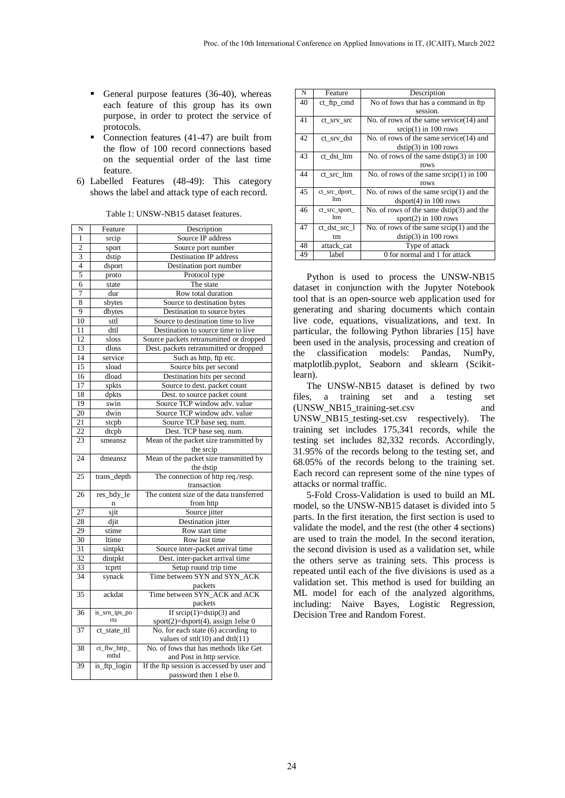- General purpose features (36-40), whereas each feature of this group has its own purpose, in order to protect the service of protocols.
- Connection features (41-47) are built from the flow of 100 record connections based on the sequential order of the last time feature.
- 6) Labelled Features (48-49): This category shows the label and attack type of each record.

| N               | Feature       | Description                                |  |  |  |
|-----------------|---------------|--------------------------------------------|--|--|--|
| $\mathbf{1}$    | srcip         | Source IP address                          |  |  |  |
| $\overline{c}$  | sport         | Source port number                         |  |  |  |
| 3               | dstip         | Destination IP address                     |  |  |  |
| $\overline{4}$  | dsport        | Destination port number                    |  |  |  |
| $\overline{5}$  | proto         | Protocol type                              |  |  |  |
| 6               | state         | The state                                  |  |  |  |
| 7               | dur           | Row total duration                         |  |  |  |
| 8               | sbytes        | Source to destination bytes                |  |  |  |
| $\overline{9}$  | dbytes        | Destination to source bytes                |  |  |  |
| 10              | sttl          | Source to destination time to live         |  |  |  |
| $\overline{11}$ | dttl          | Destination to source time to live         |  |  |  |
| 12              | sloss         | Source packets retransmitted or dropped    |  |  |  |
| 13              | dloss         | Dest. packets retransmitted or dropped     |  |  |  |
| $\overline{14}$ | service       | Such as http, ftp etc.                     |  |  |  |
| $\overline{15}$ | sload         | Source bits per second                     |  |  |  |
| 16              | dload         | Destination bits per second                |  |  |  |
| 17              | spkts         | Source to dest. packet count               |  |  |  |
| 18              | dpkts         | Dest. to source packet count               |  |  |  |
| $\overline{19}$ | swin          | Source TCP window adv. value               |  |  |  |
| $\overline{20}$ | dwin          | Source TCP window adv. value               |  |  |  |
| 21              | stepb         | Source TCP base seq. num.                  |  |  |  |
| $\overline{22}$ | dtcpb         | Dest. TCP base seq. num.                   |  |  |  |
| 23              | smeansz       | Mean of the packet size transmitted by     |  |  |  |
|                 |               | the srcip                                  |  |  |  |
| 24              | dmeansz       | Mean of the packet size transmitted by     |  |  |  |
|                 |               | the dstip                                  |  |  |  |
| 25              | trans_depth   | The connection of http req./resp.          |  |  |  |
|                 |               | transaction                                |  |  |  |
| 26              | res_bdy_le    | The content size of the data transferred   |  |  |  |
|                 | $\mathbf n$   | from http                                  |  |  |  |
| $\overline{27}$ | sjit          | Source jitter                              |  |  |  |
| 28              | djit          | Destination jitter                         |  |  |  |
| 29              | stime         | Row start time                             |  |  |  |
| 30              | ltime         | Row last time                              |  |  |  |
| 31              | sintpkt       | Source inter-packet arrival time           |  |  |  |
| 32              | dintpkt       | Dest. inter-packet arrival time            |  |  |  |
| 33              | tcprtt        | Setup round trip time                      |  |  |  |
| 34              | synack        | Time between SYN and SYN_ACK               |  |  |  |
|                 |               | packets                                    |  |  |  |
| 35              | ackdat        | Time between SYN_ACK and ACK               |  |  |  |
|                 |               | packets                                    |  |  |  |
| 36              | is_srn_ips_po | If $\text{srcip}(1) = \text{dstip}(3)$ and |  |  |  |
|                 | rts           | sport(2)=dsport(4), assign 1else 0         |  |  |  |
| 37              | ct_state_ttl  | No. for each state (6) according to        |  |  |  |
|                 |               | values of $sttl(10)$ and $dttl(11)$        |  |  |  |
| 38              | ct_flw_http_  | No. of fows that has methods like Get      |  |  |  |
|                 | mthd          | and Post in http service.                  |  |  |  |
| 39              | is_ftp_login  | If the ftp session is accessed by user and |  |  |  |
|                 |               | password then 1 else 0.                    |  |  |  |

| N  | Feature              | Description                                       |  |  |  |
|----|----------------------|---------------------------------------------------|--|--|--|
| 40 | ct_ftp_cmd           | No of fows that has a command in ftp.             |  |  |  |
|    |                      | session.                                          |  |  |  |
| 41 | ct_srv_src           | No. of rows of the same service $(14)$ and        |  |  |  |
|    |                      | $srcip(1)$ in 100 rows                            |  |  |  |
| 42 | ct srv dst           | No. of rows of the same service $(14)$ and        |  |  |  |
|    |                      | $dstip(3)$ in 100 rows                            |  |  |  |
| 43 | ct dst ltm           | No. of rows of the same $\text{dstip}(3)$ in 100  |  |  |  |
|    |                      | rows                                              |  |  |  |
| 44 | ct src ltm           | No. of rows of the same $srcip(1)$ in 100         |  |  |  |
|    |                      | rows                                              |  |  |  |
| 45 | ct_src_dport_        | No. of rows of the same $\text{srcip}(1)$ and the |  |  |  |
|    | 1 <sub>tm</sub>      | $\text{dsport}(4)$ in 100 rows                    |  |  |  |
| 46 | ct_src_sport_<br>ltm | No. of rows of the same $\text{dstip}(3)$ and the |  |  |  |
|    |                      | sport $(2)$ in 100 rows                           |  |  |  |
| 47 | ct_dst_src_l         | No. of rows of the same $\text{srcip}(1)$ and the |  |  |  |
|    | tm                   | $\text{dstip}(3)$ in 100 rows                     |  |  |  |
| 48 | attack_cat           | Type of attack                                    |  |  |  |
| 49 | label                | 0 for normal and 1 for attack                     |  |  |  |

Python is used to process the UNSW-NB15 dataset in conjunction with the Jupyter Notebook tool that is an open-source web application used for generating and sharing documents which contain live code, equations, visualizations, and text. In particular, the following Python libraries [15] have been used in the analysis, processing and creation of the classification models: Pandas, NumPy, matplotlib.pyplot, Seaborn and sklearn (Scikitlearn).

The UNSW-NB15 dataset is defined by two files, a training set and a testing set (UNSW\_NB15\_training-set.csv and UNSW\_NB15\_testing-set.csv respectively). The training set includes 175,341 records, while the testing set includes 82,332 records. Accordingly, 31.95% of the records belong to the testing set, and 68.05% of the records belong to the training set. Each record can represent some of the nine types of attacks or normal traffic.

5-Fold Cross-Validation is used to build an ML model, so the UNSW-NB15 dataset is divided into 5 parts. In the first iteration, the first section is used to validate the model, and the rest (the other 4 sections) are used to train the model. In the second iteration, the second division is used as a validation set, while the others serve as training sets. This process is repeated until each of the five divisions is used as a validation set. This method is used for building an ML model for each of the analyzed algorithms, including: Naive Bayes, Logistic Regression, Decision Tree and Random Forest.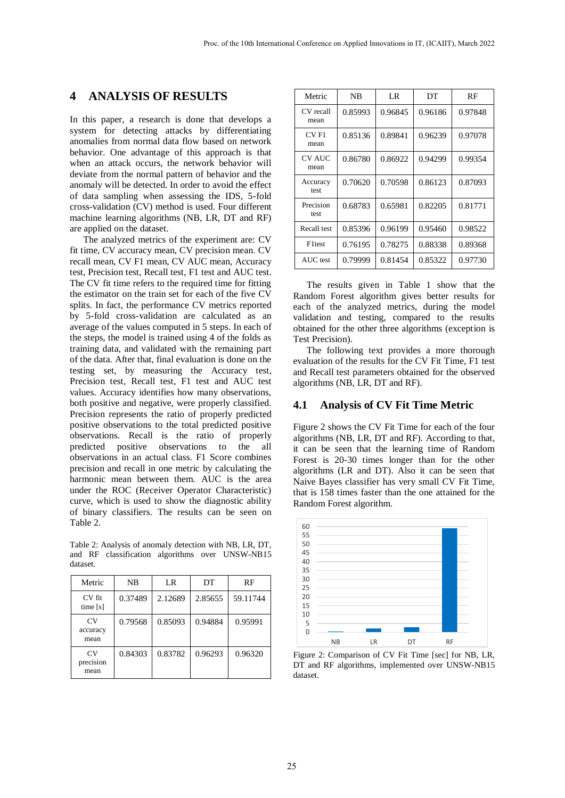### **4 ANALYSIS OF RESULTS**

In this paper, a research is done that develops a system for detecting attacks by differentiating anomalies from normal data flow based on network behavior. One advantage of this approach is that when an attack occurs, the network behavior will deviate from the normal pattern of behavior and the anomaly will be detected. In order to avoid the effect of data sampling when assessing the IDS, 5-fold cross-validation (CV) method is used. Four different machine learning algorithms (NB, LR, DT and RF) are applied on the dataset.

The analyzed metrics of the experiment are: CV fit time, CV accuracy mean, CV precision mean. CV recall mean, CV F1 mean, CV AUC mean, Accuracy test, Precision test, Recall test, F1 test and AUC test. The CV fit time refers to the required time for fitting the estimator on the train set for each of the five CV splits. In fact, the performance CV metrics reported by 5-fold cross-validation are calculated as an average of the values computed in 5 steps. In each of the steps, the model is trained using 4 of the folds as training data, and validated with the remaining part of the data. After that, final evaluation is done on the testing set, by measuring the Accuracy test, Precision test, Recall test, F1 test and AUC test values. Accuracy identifies how many observations, both positive and negative, were properly classified. Precision represents the ratio of properly predicted positive observations to the total predicted positive observations. Recall is the ratio of properly predicted positive observations to the all observations in an actual class. F1 Score combines precision and recall in one metric by calculating the harmonic mean between them. AUC is the area under the ROC (Receiver Operator Characteristic) curve, which is used to show the diagnostic ability of binary classifiers. The results can be seen on Table 2.

Table 2: Analysis of anomaly detection with NB, LR, DT, and RF classification algorithms over UNSW-NB15 dataset.

| Metric                      | NB      | LR      | DТ      | RF       |
|-----------------------------|---------|---------|---------|----------|
| CV fit<br>time [s]          | 0.37489 | 2.12689 | 2.85655 | 59.11744 |
| $C_{V}$<br>accuracy<br>mean | 0.79568 | 0.85093 | 0.94884 | 0.95991  |
| CV.<br>precision<br>mean    | 0.84303 | 0.83782 | 0.96293 | 0.96320  |

| Metric                | NB      | LR      | DT      | RF      |
|-----------------------|---------|---------|---------|---------|
| CV recall<br>mean     | 0.85993 | 0.96845 | 0.96186 | 0.97848 |
| CVF1<br>mean          | 0.85136 | 0.89841 | 0.96239 | 0.97078 |
| <b>CV AUC</b><br>mean | 0.86780 | 0.86922 | 0.94299 | 0.99354 |
| Accuracy<br>test      | 0.70620 | 0.70598 | 0.86123 | 0.87093 |
| Precision<br>test     | 0.68783 | 0.65981 | 0.82205 | 0.81771 |
| Recall test           | 0.85396 | 0.96199 | 0.95460 | 0.98522 |
| F <sub>1</sub> test   | 0.76195 | 0.78275 | 0.88338 | 0.89368 |
| AUC test              | 0.79999 | 0.81454 | 0.85322 | 0.97730 |

The results given in Table 1 show that the Random Forest algorithm gives better results for each of the analyzed metrics, during the model validation and testing, compared to the results obtained for the other three algorithms (exception is Test Precision).

The following text provides a more thorough evaluation of the results for the CV Fit Time, F1 test and Recall test parameters obtained for the observed algorithms (NB, LR, DT and RF).

#### **4.1 Analysis of CV Fit Time Metric**

Figure 2 shows the CV Fit Time for each of the four algorithms (NB, LR, DT and RF). According to that, it can be seen that the learning time of Random Forest is 20-30 times longer than for the other algorithms (LR and DT). Also it can be seen that Naive Bayes classifier has very small CV Fit Time, that is 158 times faster than the one attained for the Random Forest algorithm.



Figure 2: Comparison of CV Fit Time [sec] for NB, LR, DT and RF algorithms, implemented over UNSW-NB15 dataset.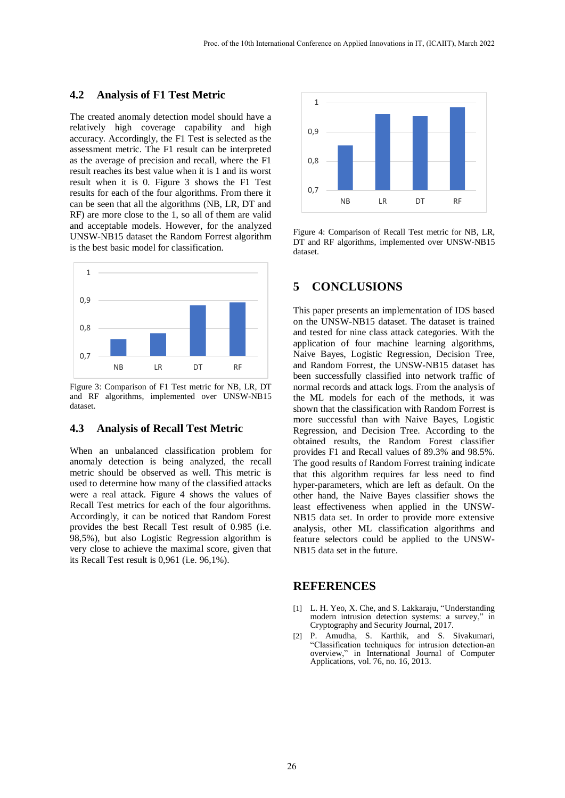#### **4.2 Analysis of F1 Test Metric**

The created anomaly detection model should have a relatively high coverage capability and high accuracy. Accordingly, the F1 Test is selected as the assessment metric. The F1 result can be interpreted as the average of precision and recall, where the F1 result reaches its best value when it is 1 and its worst result when it is 0. Figure 3 shows the F1 Test results for each of the four algorithms. From there it can be seen that all the algorithms (NB, LR, DT and RF) are more close to the 1, so all of them are valid and acceptable models. However, for the analyzed UNSW-NB15 dataset the Random Forrest algorithm is the best basic model for classification.



Figure 3: Comparison of F1 Test metric for NB, LR, DT and RF algorithms, implemented over UNSW-NB15 dataset.

#### **4.3 Analysis of Recall Test Metric**

When an unbalanced classification problem for anomaly detection is being analyzed, the recall metric should be observed as well. This metric is used to determine how many of the classified attacks were a real attack. Figure 4 shows the values of Recall Test metrics for each of the four algorithms. Accordingly, it can be noticed that Random Forest provides the best Recall Test result of 0.985 (i.e. 98,5%), but also Logistic Regression algorithm is very close to achieve the maximal score, given that its Recall Test result is 0,961 (i.e. 96,1%).



Figure 4: Comparison of Recall Test metric for NB, LR, DT and RF algorithms, implemented over UNSW-NB15 dataset.

### **5 CONCLUSIONS**

This paper presents an implementation of IDS based on the UNSW-NB15 dataset. The dataset is trained and tested for nine class attack categories. With the application of four machine learning algorithms, Naive Bayes, Logistic Regression, Decision Tree, and Random Forrest, the UNSW-NB15 dataset has been successfully classified into network traffic of normal records and attack logs. From the analysis of the ML models for each of the methods, it was shown that the classification with Random Forrest is more successful than with Naive Bayes, Logistic Regression, and Decision Tree. According to the obtained results, the Random Forest classifier provides F1 and Recall values of 89.3% and 98.5%. The good results of Random Forrest training indicate that this algorithm requires far less need to find hyper-parameters, which are left as default. On the other hand, the Naive Bayes classifier shows the least effectiveness when applied in the UNSW-NB15 data set. In order to provide more extensive analysis, other ML classification algorithms and feature selectors could be applied to the UNSW-NB15 data set in the future.

### **REFERENCES**

- [1] L. H. Yeo, X. Che, and S. Lakkaraju, "Understanding modern intrusion detection systems: a survey," in Cryptography and Security Journal, 2017.
- [2] P. Amudha, S. Karthik, and S. Sivakumari, "Classification techniques for intrusion detection-an overview," in International Journal of Computer Applications, vol. 76, no. 16, 2013.